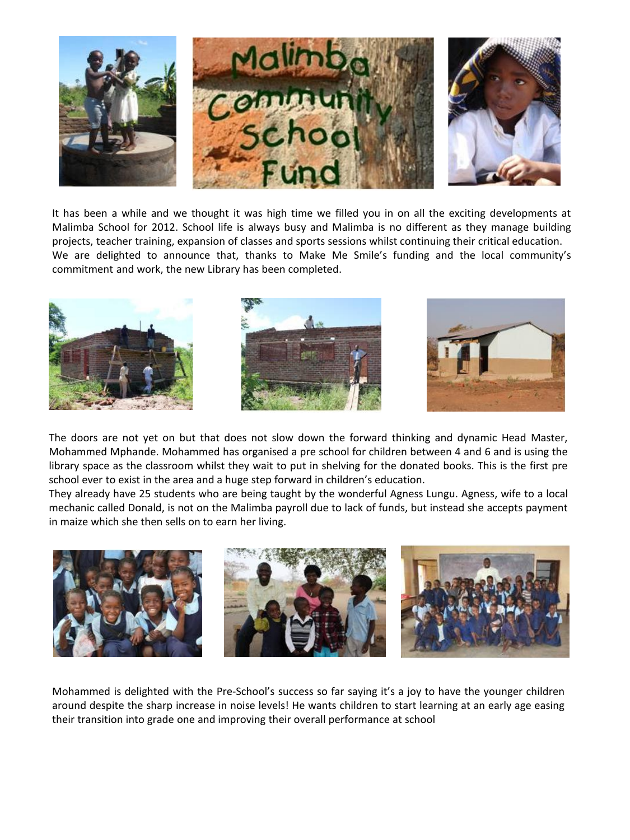

It has been a while and we thought it was high time we filled you in on all the exciting developments at Malimba School for 2012. School life is always busy and Malimba is no different as they manage building projects, teacher training, expansion of classes and sports sessions whilst continuing their critical education. We are delighted to announce that, thanks to Make Me Smile's funding and the local community's commitment and work, the new Library has been completed.



The doors are not yet on but that does not slow down the forward thinking and dynamic Head Master, Mohammed Mphande. Mohammed has organised a pre school for children between 4 and 6 and is using the library space as the classroom whilst they wait to put in shelving for the donated books. This is the first pre school ever to exist in the area and a huge step forward in children's education.

They already have 25 students who are being taught by the wonderful Agness Lungu. Agness, wife to a local mechanic called Donald, is not on the Malimba payroll due to lack of funds, but instead she accepts payment in maize which she then sells on to earn her living.



Mohammed is delighted with the Pre-School's success so far saying it's a joy to have the younger children around despite the sharp increase in noise levels! He wants children to start learning at an early age easing their transition into grade one and improving their overall performance at school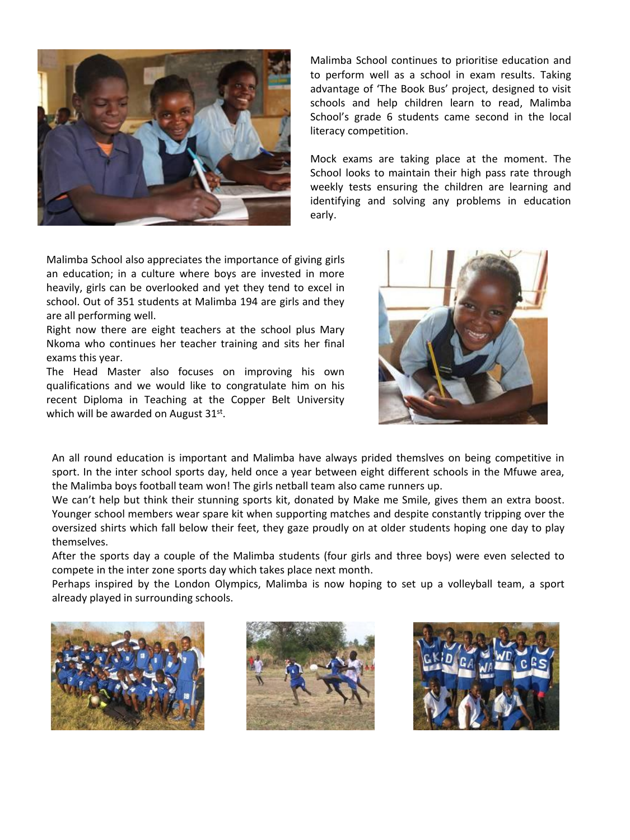

Malimba School continues to prioritise education and to perform well as a school in exam results. Taking advantage of 'The Book Bus' project, designed to visit schools and help children learn to read, Malimba School's grade 6 students came second in the local literacy competition.

Mock exams are taking place at the moment. The School looks to maintain their high pass rate through weekly tests ensuring the children are learning and identifying and solving any problems in education early.

Malimba School also appreciates the importance of giving girls an education; in a culture where boys are invested in more heavily, girls can be overlooked and yet they tend to excel in school. Out of 351 students at Malimba 194 are girls and they are all performing well.

Right now there are eight teachers at the school plus Mary Nkoma who continues her teacher training and sits her final exams this year.

The Head Master also focuses on improving his own qualifications and we would like to congratulate him on his recent Diploma in Teaching at the Copper Belt University which will be awarded on August 31st.



An all round education is important and Malimba have always prided themslves on being competitive in sport. In the inter school sports day, held once a year between eight different schools in the Mfuwe area, the Malimba boys football team won! The girls netball team also came runners up.

We can't help but think their stunning sports kit, donated by Make me Smile, gives them an extra boost. Younger school members wear spare kit when supporting matches and despite constantly tripping over the oversized shirts which fall below their feet, they gaze proudly on at older students hoping one day to play themselves.

After the sports day a couple of the Malimba students (four girls and three boys) were even selected to compete in the inter zone sports day which takes place next month.

Perhaps inspired by the London Olympics, Malimba is now hoping to set up a volleyball team, a sport already played in surrounding schools.